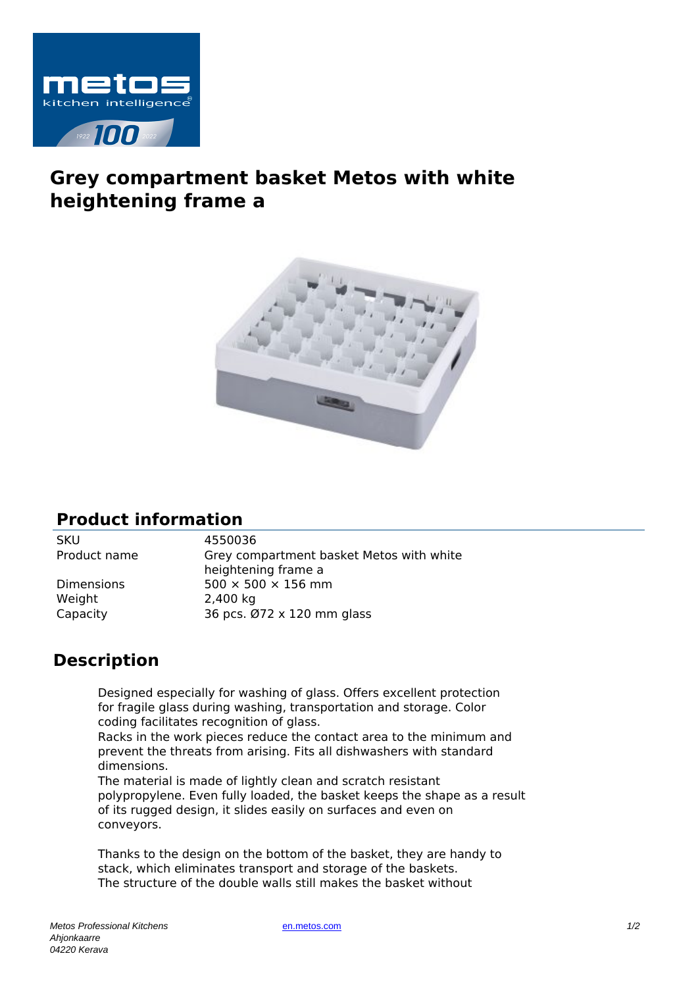

## **Grey compartment basket Metos with white heightening frame a**



## **Product information**

SKU 4550036

Weight 2,400 kg

Product name Grey compartment basket Metos with white heightening frame a Dimensions  $500 \times 500 \times 156$  mm Capacity 36 pcs. Ø72 x 120 mm glass

## **Description**

Designed especially for washing of glass. Offers excellent protection for fragile glass during washing, transportation and storage. Color coding facilitates recognition of glass.

Racks in the work pieces reduce the contact area to the minimum and prevent the threats from arising. Fits all dishwashers with standard dimensions.

The material is made of lightly clean and scratch resistant polypropylene. Even fully loaded, the basket keeps the shape as a result of its rugged design, it slides easily on surfaces and even on conveyors.

Thanks to the design on the bottom of the basket, they are handy to stack, which eliminates transport and storage of the baskets. The structure of the double walls still makes the basket without